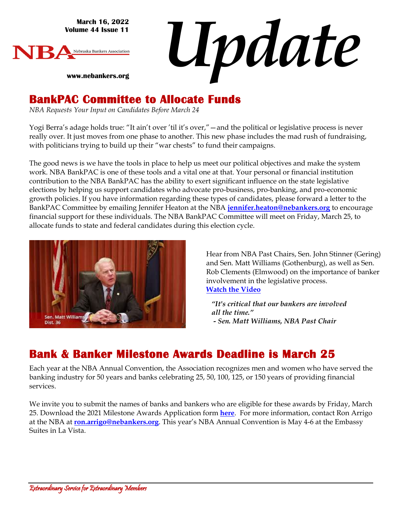**March 16, 2022 Volume 44 Issue 11**

**www.nebankers.org**



*Update*

### **BankPAC Committee to Allocate Funds**

*NBA Requests Your Input on Candidates Before March 24*

Yogi Berra's adage holds true: "It ain't over 'til it's over,"—and the political or legislative process is never really over. It just moves from one phase to another. This new phase includes the mad rush of fundraising, with politicians trying to build up their "war chests" to fund their campaigns.

The good news is we have the tools in place to help us meet our political objectives and make the system work. NBA BankPAC is one of these tools and a vital one at that. Your personal or financial institution contribution to the NBA BankPAC has the ability to exert significant influence on the state legislative elections by helping us support candidates who advocate pro-business, pro-banking, and pro-economic growth policies. If you have information regarding these types of candidates, please forward a letter to the BankPAC Committee by emailing Jennifer Heaton at the NBA **[jennifer.heaton@nebankers.org](mailto:jennifer.heaton@nebankers.org)** to encourage financial support for these individuals. The NBA BankPAC Committee will meet on Friday, March 25, to allocate funds to state and federal candidates during this election cycle.



Hear from NBA Past Chairs, Sen. John Stinner (Gering) and Sen. Matt Williams (Gothenburg), as well as Sen. Rob Clements (Elmwood) on the importance of banker involvement in the legislative process. **Watch the Video** 

*"It's critical that our bankers are involved all the time." - Sen. Matt Williams, NBA Past Chair*

### **Bank & Banker Milestone Awards Deadline is March 25**

Each year at the NBA Annual Convention, the Association recognizes men and women who have served the banking industry for 50 years and banks celebrating 25, 50, 100, 125, or 150 years of providing financial services.

We invite you to submit the names of banks and bankers who are eligible for these awards by Friday, March 25. Download the 2021 Milestone Awards Application form **[here](https://r20.rs6.net/tn.jsp?f=001OI25zj5Dy1GV-1u_vgGNQUsNOuqNWoT5C6iJAgIc5b73hXaMfHr3wEZpSLQqKEvdO2yVCM2HG4a6xVEKQGBJxS2f8Q1AIsgKJNHO6SNa4d0F4TqrMuQ0HYLN0TkjPivZyMpl0MIJCCKmP3CaC4zKODO2tB7UQnkZ8JeaJwj1fteeGQHAdnjlYbgscNDcPG84YhZ1BAE9Obpx_QxuwPQAU7IQmGvuLpQh6oVlApX7VQFMWiXaLakAFQ==&c=rxvLbEOg6HAdb7KGuVD0Pr2fHAsWTBJWOXZvBXZ5n9ErjoRAUfUzow==&ch=YSbwmgPLxPpdoWUfESVcb0zaaRna8RDrvPCnq0RtUqS9FqmHb1wSJQ==)**. For more information, contact Ron Arrigo at the NBA at **[ron.arrigo@nebankers.org](mailto:ron.arrigo@nebankers.org)**. This year's NBA Annual Convention is May 4-6 at the Embassy Suites in La Vista.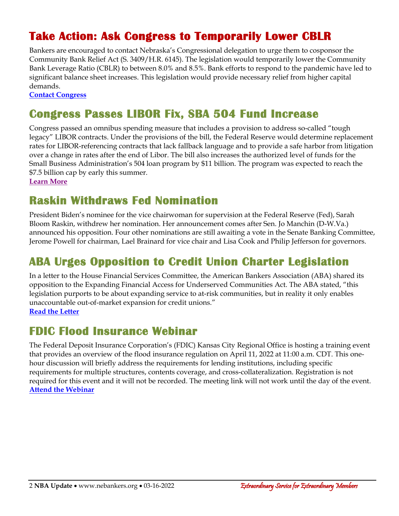# **Take Action: Ask Congress to Temporarily Lower CBLR**

Bankers are encouraged to contact Nebraska's Congressional delegation to urge them to cosponsor the Community Bank Relief Act (S. 3409/H.R. 6145). The legislation would temporarily lower the Community Bank Leverage Ratio (CBLR) to between 8.0% and 8.5%. Bank efforts to respond to the pandemic have led to significant balance sheet increases. This legislation would provide necessary relief from higher capital demands.

**[Contact Congress](https://secureamericanopportunity.com/take-action/nebraska-bankers-tell-congress-to-lower-community-bank-leverage-ratio/)**

## **Congress Passes LIBOR Fix, SBA 504 Fund Increase**

Congress passed an omnibus spending measure that includes a provision to address so-called "tough legacy" LIBOR contracts. Under the provisions of the bill, the Federal Reserve would determine replacement rates for LIBOR-referencing contracts that lack fallback language and to provide a safe harbor from litigation over a change in rates after the end of Libor. The bill also increases the authorized level of funds for the Small Business Administration's 504 loan program by \$11 billion. The program was expected to reach the \$7.5 billion cap by early this summer.

**[Learn More](https://bankingjournal.aba.com/2022/03/congress-passes-aba-backed-bill-addressing-tough-legacy-libor-contracts/)**

## **Raskin Withdraws Fed Nomination**

President Biden's nominee for the vice chairwoman for supervision at the Federal Reserve (Fed), Sarah Bloom Raskin, withdrew her nomination. Her announcement comes after Sen. Jo Manchin (D-W.Va.) announced his opposition. Four other nominations are still awaiting a vote in the Senate Banking Committee, Jerome Powell for chairman, Lael Brainard for vice chair and Lisa Cook and Philip Jefferson for governors.

# **ABA Urges Opposition to Credit Union Charter Legislation**

In a letter to the House Financial Services Committee, the American Bankers Association (ABA) shared its opposition to the Expanding Financial Access for Underserved Communities Act. The ABA stated, "this legislation purports to be about expanding service to at-risk communities, but in reality it only enables unaccountable out-of-market expansion for credit unions." **[Read the Letter](https://www.aba.com/advocacy/policy-analysis/oppose-the-expanding-financial-access-for-underserved-communities-act)**

### **FDIC Flood Insurance Webinar**

The Federal Deposit Insurance Corporation's (FDIC) Kansas City Regional Office is hosting a training event that provides an overview of the flood insurance regulation on April 11, 2022 at 11:00 a.m. CDT. This onehour discussion will briefly address the requirements for lending institutions, including specific requirements for multiple structures, contents coverage, and cross-collateralization. Registration is not required for this event and it will not be recorded. The meeting link will not work until the day of the event. **[Attend the Webinar](https://teams.microsoft.com/l/meetup-join/19%3ameeting_MWFhYzQzNDctMjhjNC00MDVmLTllMGMtODBiOWVlNzc5Zjk0%40thread.v2/0?context=%7b%22Tid%22%3a%2226c83bc9-31c1-4d77-a523-0816095aba31%22%2c%22Oid%22%3a%22fc19ea80-e6f4-496b-a6d3-be1634d5efc7%22%2c%22IsBroadcastMeeting%22%3atrue%7d&btype=a&role=a)**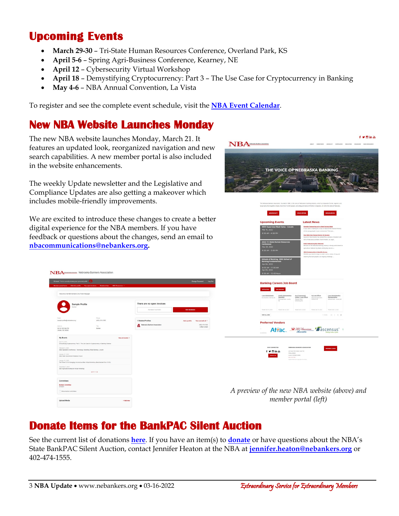## **Upcoming Events**

- **March 29-30** Tri-State Human Resources Conference, Overland Park, KS
- **April 5-6** Spring Agri-Business Conference, Kearney, NE
- **April 12**  Cybersecurity Virtual Workshop
- **April 18** Demystifying Cryptocurrency: Part 3 The Use Case for Cryptocurrency in Banking
- **May 4-6** NBA Annual Convention, La Vista

To register and see the complete event schedule, visit the **[NBA Event Calendar](https://web.nebankers.org/events)**.

#### **New NBA Website Launches Monday**

The new NBA website launches Monday, March 21. It features an updated look, reorganized navigation and new search capabilities. A new member portal is also included in the website enhancements.

The weekly Update newsletter and the Legislative and Compliance Updates are also getting a makeover which includes mobile-friendly improvements.

We are excited to introduce these changes to create a better digital experience for the NBA members. If you have feedback or questions about the changes, send an email to **[nbacommunications@nebankers.org.](mailto:nbacommunications@nebankers.org)**

| Hi Anon! You're currently viewing your personal profile                                                    | е                                                     |                                        |               | <b>Change Password</b>         |
|------------------------------------------------------------------------------------------------------------|-------------------------------------------------------|----------------------------------------|---------------|--------------------------------|
| Member portal home<br>Edit this profile                                                                    | Relationships<br>NBA Resources v<br>Pay open involces |                                        |               |                                |
| Welcome to the NBA Member's Ciniy Portal Webpager                                                          |                                                       |                                        |               |                                |
| Sample Profile                                                                                             |                                                       | There are no open invoices             |               |                                |
| Banker                                                                                                     |                                                       | <b>PAY INVOICES</b><br>PAYMENT HISTORY |               |                                |
| Foyd<br>sample profile@nebankers.org                                                                       | Phone<br>(402) 474-1555                               | 1 Related Profiles                     | Add a profile | View and edit all >            |
| Address<br>233 S 13th Ste 700<br>Lincoln, NE 68508                                                         | Title<br>Ranker                                       | Nebraska Bankers Association<br>a.     |               | (402) 474-155<br>* Main Contac |
| My Events                                                                                                  | View all events >                                     |                                        |               |                                |
| April 18, 2022<br>Demystitying Cryptocurrency: Part 3 - The Use Case for Cryptocurrency in Banking Webinar |                                                       |                                        |               |                                |
| February 8, 2022<br>2022 Operations Conference - Technology, Marketing, Retail Banking - Lincoln           |                                                       |                                        |               |                                |
| January 27, 2022<br>2022 State Government Relations Forum                                                  |                                                       |                                        |               |                                |
| January 15, 2022<br>The Three C's for Managing Unconscious Blas Virtual Workshop (Rescheduled from 12/15)  |                                                       |                                        |               |                                |
| December 7, 2021<br>2021 Agriculture & Beyond Virtual Workshop                                             |                                                       |                                        |               |                                |
|                                                                                                            | 50000                                                 |                                        |               |                                |
| Committees                                                                                                 |                                                       |                                        |               |                                |
| <b>Bankers Committee</b><br>5/1/2021                                                                       |                                                       |                                        |               |                                |
|                                                                                                            |                                                       |                                        |               |                                |



*A preview of the new NBA website (above) and member portal (left)*

### **Donate Items for the BankPAC Silent Auction**

See the current list of donations **[here](http://www.nebankers.org/uploads/8/1/6/4/81640974/2022_nba_bankpac_silent_auction_listing.pdf)**. If you have an item(s) to **[donate](https://www.nebankers.org/uploads/8/1/6/4/81640974/donation_form2-.pdf)** or have questions about the NBA's State BankPAC Silent Auction, contact Jennifer Heaton at the NBA at **[jennifer.heaton@nebankers.org](mailto:jennifer.heaton@nebankers.org)** or 402-474-1555.